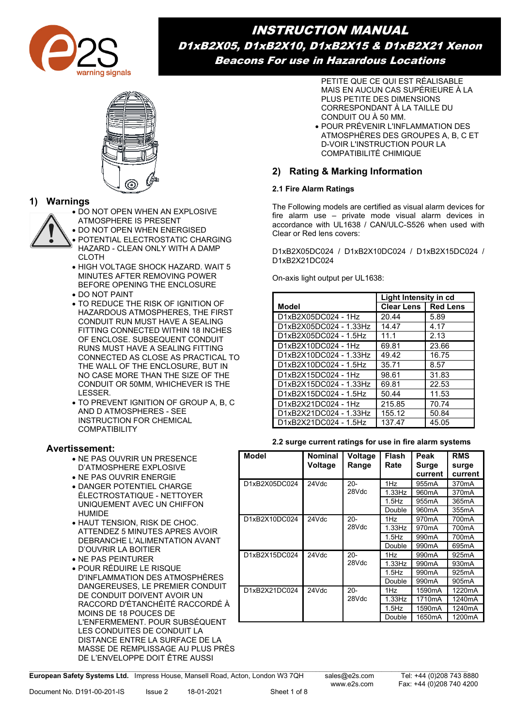

INSTRUCTION MANUAL D1xB2X05, D1xB2X10, D1xB2X15 & D1xB2X21 Xenon Beacons For use in Hazardous Locations



# **1) Warnings**

• DO NOT OPEN WHEN AN EXPLOSIVE

- ATMOSPHERE IS PRESENT
- DO NOT OPEN WHEN ENERGISED • POTENTIAL ELECTROSTATIC CHARGING
- HAZARD CLEAN ONLY WITH A DAMP CLOTH
- HIGH VOLTAGE SHOCK HAZARD. WAIT 5 MINUTES AFTER REMOVING POWER BEFORE OPENING THE ENCLOSURE
- DO NOT PAINT
- TO REDUCE THE RISK OF IGNITION OF HAZARDOUS ATMOSPHERES, THE FIRST CONDUIT RUN MUST HAVE A SEALING FITTING CONNECTED WITHIN 18 INCHES OF ENCLOSE. SUBSEQUENT CONDUIT RUNS MUST HAVE A SEALING FITTING CONNECTED AS CLOSE AS PRACTICAL TO THE WALL OF THE ENCLOSURE, BUT IN NO CASE MORE THAN THE SIZE OF THE CONDUIT OR 50MM, WHICHEVER IS THE LESSER.
- TO PREVENT IGNITION OF GROUP A, B, C AND D ATMOSPHERES - SEE INSTRUCTION FOR CHEMICAL COMPATIBILITY

### **Avertissement:**

- NE PAS OUVRIR UN PRESENCE D'ATMOSPHERE EXPLOSIVE
- NE PAS OUVRIR ENERGIE
- DANGER POTENTIEL CHARGE ÉLECTROSTATIQUE - NETTOYER UNIQUEMENT AVEC UN CHIFFON HUMIDE
- HAUT TENSION, RISK DE CHOC. ATTENDEZ 5 MINUTES APRES AVOIR DEBRANCHE L'ALIMENTATION AVANT D'OUVRIR LA BOITIER
- NE PAS PEINTURER
- POUR RÉDUIRE LE RISQUE D'INFLAMMATION DES ATMOSPHÈRES DANGEREUSES, LE PREMIER CONDUIT DE CONDUIT DOIVENT AVOIR UN RACCORD D'ÉTANCHÉITÉ RACCORDÉ À MOINS DE 18 POUCES DE L'ENFERMEMENT. POUR SUBSÉQUENT LES CONDUITES DE CONDUIT LA DISTANCE ENTRE LA SURFACE DE LA MASSE DE REMPLISSAGE AU PLUS PRÈS DE L'ENVELOPPE DOIT ÊTRE AUSSI

PETITE QUE CE QUI EST RÉALISABLE MAIS EN AUCUN CAS SUPÉRIEURE À LA PLUS PETITE DES DIMENSIONS CORRESPONDANT À LA TAILLE DU CONDUIT OU À 50 MM.

• POUR PRÉVENIR L'INFLAMMATION DES ATMOSPHÈRES DES GROUPES A, B, C ET D-VOIR L'INSTRUCTION POUR LA COMPATIBILITÉ CHIMIQUE

# **2) Rating & Marking Information**

### **2.1 Fire Alarm Ratings**

The Following models are certified as visual alarm devices for fire alarm use – private mode visual alarm devices in accordance with UL1638 / CAN/ULC-S526 when used with Clear or Red lens covers:

D1xB2X05DC024 / D1xB2X10DC024 / D1xB2X15DC024 / D1xB2X21DC024

On-axis light output per UL1638:

|                        | Light Intensity in cd |                 |
|------------------------|-----------------------|-----------------|
| Model                  | <b>Clear Lens I</b>   | <b>Red Lens</b> |
| D1xB2X05DC024 - 1Hz    | 20.44                 | 5.89            |
| D1xB2X05DC024 - 1.33Hz | 14.47                 | 4.17            |
| D1xB2X05DC024 - 1.5Hz  | 11.1                  | 2.13            |
| D1xB2X10DC024 - 1Hz    | 69.81                 | 23.66           |
| D1xB2X10DC024 - 1.33Hz | 49.42                 | 16.75           |
| D1xB2X10DC024 - 1.5Hz  | 35.71                 | 8.57            |
| D1xB2X15DC024 - 1Hz    | 98.61                 | 31.83           |
| D1xB2X15DC024 - 1.33Hz | 69.81                 | 22.53           |
| D1xB2X15DC024 - 1.5Hz  | 50.44                 | 11.53           |
| D1xB2X21DC024 - 1Hz    | 215.85                | 70.74           |
| D1xB2X21DC024 - 1.33Hz | 155.12                | 50.84           |
| D1xB2X21DC024 - 1.5Hz  | 137.47                | 45.05           |

### **2.2 surge current ratings for use in fire alarm systems**

| <b>Model</b>  | <b>Nominal</b><br>Voltage | Voltage<br>Range | <b>Flash</b><br>Rate | Peak<br>Surge<br>current | <b>RMS</b><br>surge<br>current |
|---------------|---------------------------|------------------|----------------------|--------------------------|--------------------------------|
| D1xB2X05DC024 | 24Vdc                     | $20 -$           | 1Hz                  | 955 <sub>m</sub> A       | 370 <sub>m</sub> A             |
|               |                           | 28Vdc            | $1.33$ Hz            | 960 <sub>m</sub> A       | 370 <sub>m</sub> A             |
|               |                           |                  | $1.5$ Hz             | 955 <sub>m</sub> A       | 365mA                          |
|               |                           |                  | Double               | 960 <sub>m</sub> A       | 355mA                          |
| D1xB2X10DC024 | 24Vdc                     | $20 -$           | 1Hz                  | 970 <sub>m</sub> A       | 700mA                          |
|               |                           | 28Vdc            | 1.33Hz               | 970 <sub>m</sub> A       | 700mA                          |
|               |                           |                  | $1.5$ Hz             | 990 <sub>m</sub> A       | 700mA                          |
|               |                           |                  | Double               | 990 <sub>m</sub> A       | 695mA                          |
| D1xB2X15DC024 | 24Vdc                     | $20 -$           | 1Hz                  | 990 <sub>m</sub> A       | 925mA                          |
|               |                           | 28Vdc            | 1.33Hz               | 990 <sub>m</sub> A       | 930 <sub>m</sub> A             |
|               |                           |                  | $1.5$ Hz             | 990 <sub>m</sub> A       | 925mA                          |
|               |                           |                  | Double               | 990 <sub>m</sub> A       | 905 <sub>m</sub> A             |
| D1xB2X21DC024 | 24Vdc                     | $20 -$           | 1Hz                  | 1590 <sub>m</sub> A      | 1220mA                         |
|               |                           | 28Vdc            | 1.33Hz               | 1710mA                   | 1240mA                         |
|               |                           |                  | $1.5$ Hz             | 1590mA                   | 1240mA                         |
|               |                           |                  | Double               | 1650mA                   | 1200mA                         |

**European Safety Systems Ltd.** Impress House, Mansell Road, Acton, London W3 7QH sales@e2s.com Tel: +44 (0)208 743 8880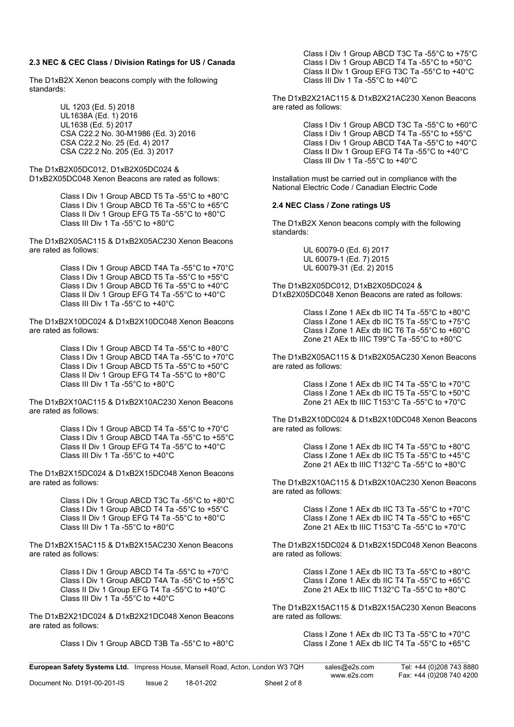#### **2.3 NEC & CEC Class / Division Ratings for US / Canada**

The D1xB2X Xenon beacons comply with the following standards:

> UL 1203 (Ed. 5) 2018 UL1638A (Ed. 1) 2016 UL1638 (Ed. 5) 2017 CSA C22.2 No. 30-M1986 (Ed. 3) 2016 CSA C22.2 No. 25 (Ed. 4) 2017 CSA C22.2 No. 205 (Ed. 3) 2017

The D1xB2X05DC012, D1xB2X05DC024 & D1xB2X05DC048 Xenon Beacons are rated as follows:

> Class I Div 1 Group ABCD T5 Ta -55°C to +80°C Class I Div 1 Group ABCD T6 Ta -55°C to +65°C Class II Div 1 Group EFG T5 Ta -55°C to +80°C Class III Div 1 Ta -55°C to +80°C

The D1xB2X05AC115 & D1xB2X05AC230 Xenon Beacons are rated as follows:

> Class I Div 1 Group ABCD T4A Ta -55°C to +70°C Class I Div 1 Group ABCD T5 Ta -55°C to +55°C Class I Div 1 Group ABCD T6 Ta -55°C to +40°C Class II Div 1 Group EFG T4 Ta -55°C to +40°C Class III Div 1 Ta -55°C to +40°C

The D1xB2X10DC024 & D1xB2X10DC048 Xenon Beacons are rated as follows:

> Class I Div 1 Group ABCD T4 Ta -55°C to +80°C Class I Div 1 Group ABCD T4A Ta -55°C to +70°C Class I Div 1 Group ABCD T5 Ta -55°C to +50°C Class II Div 1 Group EFG T4 Ta -55°C to +80°C Class III Div 1 Ta -55°C to +80°C

The D1xB2X10AC115 & D1xB2X10AC230 Xenon Beacons are rated as follows:

> Class I Div 1 Group ABCD T4 Ta -55°C to +70°C Class I Div 1 Group ABCD T4A Ta -55°C to +55°C Class II Div 1 Group EFG T4 Ta -55°C to +40°C Class III Div 1 Ta -55°C to +40°C

The D1xB2X15DC024 & D1xB2X15DC048 Xenon Beacons are rated as follows:

> Class I Div 1 Group ABCD T3C Ta -55°C to +80°C Class I Div 1 Group ABCD T4 Ta -55°C to +55°C Class II Div 1 Group EFG T4 Ta -55°C to +80°C Class III Div 1 Ta -55°C to +80°C

The D1xB2X15AC115 & D1xB2X15AC230 Xenon Beacons are rated as follows:

> Class I Div 1 Group ABCD T4 Ta -55°C to +70°C Class I Div 1 Group ABCD T4A Ta -55°C to +55°C Class II Div 1 Group EFG T4 Ta -55°C to +40°C Class III Div 1 Ta -55°C to +40°C

The D1xB2X21DC024 & D1xB2X21DC048 Xenon Beacons are rated as follows:

Class I Div 1 Group ABCD T3B Ta -55°C to +80°C

Class I Div 1 Group ABCD T3C Ta -55°C to +75°C Class I Div 1 Group ABCD T4 Ta -55°C to +50°C Class II Div 1 Group EFG T3C Ta -55°C to +40°C Class III Div 1 Ta -55°C to +40°C

The D1xB2X21AC115 & D1xB2X21AC230 Xenon Beacons are rated as follows:

> Class I Div 1 Group ABCD T3C Ta -55°C to +60°C Class I Div 1 Group ABCD T4 Ta -55°C to +55°C Class I Div 1 Group ABCD T4A Ta -55°C to +40°C Class II Div 1 Group EFG T4 Ta -55°C to +40°C Class III Div 1 Ta -55°C to +40°C

Installation must be carried out in compliance with the National Electric Code / Canadian Electric Code

#### **2.4 NEC Class / Zone ratings US**

The D1xB2X Xenon beacons comply with the following standards:

> UL 60079-0 (Ed. 6) 2017 UL 60079-1 (Ed. 7) 2015 UL 60079-31 (Ed. 2) 2015

The D1xB2X05DC012, D1xB2X05DC024 & D1xB2X05DC048 Xenon Beacons are rated as follows:

> Class I Zone 1 AEx db IIC T4 Ta -55°C to +80°C Class I Zone 1 AEx db IIC T5 Ta -55°C to +75°C Class I Zone 1 AEx db IIC T6 Ta -55°C to +60°C Zone 21 AEx tb IIIC T99°C Ta -55°C to +80°C

The D1xB2X05AC115 & D1xB2X05AC230 Xenon Beacons are rated as follows:

> Class I Zone 1 AEx db IIC T4 Ta -55°C to +70°C Class I Zone 1 AEx db IIC T5 Ta -55°C to +50°C Zone 21 AEx tb IIIC T153°C Ta -55°C to +70°C

The D1xB2X10DC024 & D1xB2X10DC048 Xenon Beacons are rated as follows:

> Class I Zone 1 AEx db IIC T4 Ta -55°C to +80°C Class I Zone 1 AEx db IIC T5 Ta -55°C to +45°C Zone 21 AEx tb IIIC T132°C Ta -55°C to +80°C

The D1xB2X10AC115 & D1xB2X10AC230 Xenon Beacons are rated as follows:

> Class I Zone 1 AEx db IIC T3 Ta -55°C to +70°C Class I Zone 1 AEx db IIC T4 Ta -55°C to +65°C Zone 21 AEx tb IIIC T153°C Ta -55°C to +70°C

The D1xB2X15DC024 & D1xB2X15DC048 Xenon Beacons are rated as follows:

> Class I Zone 1 AEx db IIC T3 Ta -55°C to +80°C Class I Zone 1 AEx db IIC T4 Ta -55°C to +65°C Zone 21 AEx tb IIIC T132°C Ta -55°C to +80°C

The D1xB2X15AC115 & D1xB2X15AC230 Xenon Beacons are rated as follows:

> Class I Zone 1 AEx db IIC T3 Ta -55°C to +70°C Class I Zone 1 AEx db IIC T4 Ta -55°C to +65°C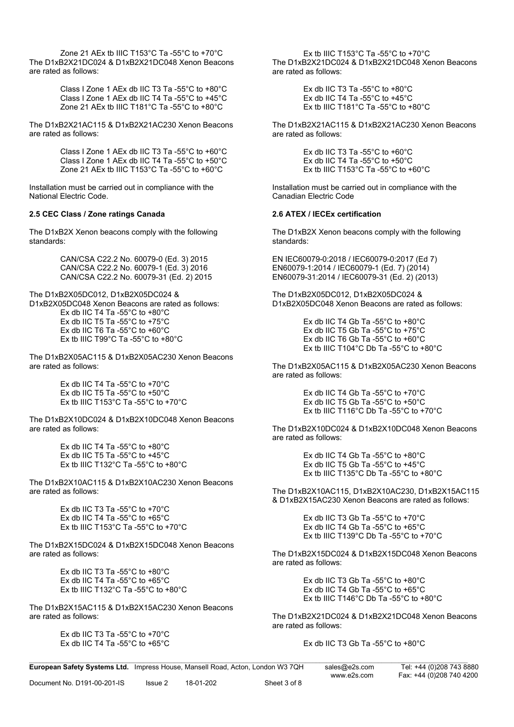Zone 21 AEx tb IIIC T153°C Ta -55°C to +70°C The D1xB2X21DC024 & D1xB2X21DC048 Xenon Beacons are rated as follows:

> Class I Zone 1 AEx db IIC T3 Ta -55°C to +80°C Class I Zone 1 AEx db IIC T4 Ta -55°C to +45°C Zone 21 AEx tb IIIC T181°C Ta -55°C to +80°C

The D1xB2X21AC115 & D1xB2X21AC230 Xenon Beacons are rated as follows:

> Class I Zone 1 AEx db IIC T3 Ta -55°C to +60°C Class I Zone 1 AEx db IIC T4 Ta -55°C to +50°C Zone 21 AEx tb IIIC T153°C Ta -55°C to +60°C

Installation must be carried out in compliance with the National Electric Code.

#### **2.5 CEC Class / Zone ratings Canada**

The D1xB2X Xenon beacons comply with the following standards:

> CAN/CSA C22.2 No. 60079-0 (Ed. 3) 2015 CAN/CSA C22.2 No. 60079-1 (Ed. 3) 2016 CAN/CSA C22.2 No. 60079-31 (Ed. 2) 2015

The D1xB2X05DC012, D1xB2X05DC024 &

D1xB2X05DC048 Xenon Beacons are rated as follows:

Ex db IIC T4 Ta -55°C to +80°C Ex db IIC T5 Ta -55°C to +75°C Ex db IIC T6 Ta -55°C to +60°C Ex tb IIIC T99°C Ta -55°C to +80°C

The D1xB2X05AC115 & D1xB2X05AC230 Xenon Beacons are rated as follows:

> Ex db IIC T4 Ta -55°C to +70°C Ex db IIC T5 Ta -55°C to +50°C Ex tb IIIC T153 $^{\circ}$ C Ta -55 $^{\circ}$ C to +70 $^{\circ}$ C

The D1xB2X10DC024 & D1xB2X10DC048 Xenon Beacons are rated as follows:

> Ex db IIC T4 Ta -55°C to +80°C Ex db IIC T5 Ta -55°C to +45°C Ex tb IIIC T132°C Ta -55°C to +80°C

The D1xB2X10AC115 & D1xB2X10AC230 Xenon Beacons are rated as follows:

> Ex db IIC T3 Ta - $55^{\circ}$ C to +70 $^{\circ}$ C Ex db IIC T4 Ta -55°C to +65°C Ex th IIIC T153°C Ta -55°C to +70°C

The D1xB2X15DC024 & D1xB2X15DC048 Xenon Beacons are rated as follows:

> Ex db IIC T3 Ta -55°C to +80°C Ex db IIC T4 Ta -55°C to +65°C Ex tb IIIC T132°C Ta -55°C to +80°C

The D1xB2X15AC115 & D1xB2X15AC230 Xenon Beacons are rated as follows:

> Ex db IIC T3 Ta -55°C to +70°C Ex db IIC T4 Ta -55°C to +65°C

Ex tb IIIC T153°C Ta -55°C to +70°C The D1xB2X21DC024 & D1xB2X21DC048 Xenon Beacons are rated as follows:

> Ex db IIC T3 Ta -55°C to +80°C Ex db IIC T4 Ta -55°C to +45°C Ex tb IIIC T181°C Ta -55°C to +80°C

The D1xB2X21AC115 & D1xB2X21AC230 Xenon Beacons are rated as follows:

> Ex db IIC T3 Ta -55°C to +60°C Ex db IIC T4 Ta -55 $^{\circ}$ C to +50 $^{\circ}$ C Ex tb IIIC T153°C Ta -55°C to +60°C

Installation must be carried out in compliance with the Canadian Electric Code

#### **2.6 ATEX / IECEx certification**

The D1xB2X Xenon beacons comply with the following standards:

EN IEC60079-0:2018 / IEC60079-0:2017 (Ed 7) EN60079-1:2014 / IEC60079-1 (Ed. 7) (2014) EN60079-31:2014 / IEC60079-31 (Ed. 2) (2013)

The D1xB2X05DC012, D1xB2X05DC024 & D1xB2X05DC048 Xenon Beacons are rated as follows:

> Ex db IIC T4 Gb Ta -55°C to +80°C Ex db IIC T5 Gb Ta -55°C to +75°C Ex db IIC T6 Gb Ta -55°C to +60°C Ex tb IIIC T104°C Db Ta -55°C to +80°C

The D1xB2X05AC115 & D1xB2X05AC230 Xenon Beacons are rated as follows:

> Ex db IIC T4 Gb Ta -55°C to +70°C Ex db IIC T5 Gb Ta -55°C to +50°C Ex tb IIIC T116°C Db Ta -55°C to +70°C

The D1xB2X10DC024 & D1xB2X10DC048 Xenon Beacons are rated as follows:

> Ex db IIC T4 Gb Ta -55°C to +80°C Ex db IIC T5 Gb Ta -55°C to +45°C Ex tb IIIC T135°C Db Ta -55°C to +80°C

The D1xB2X10AC115, D1xB2X10AC230, D1xB2X15AC115 & D1xB2X15AC230 Xenon Beacons are rated as follows:

> Ex db IIC T3 Gb Ta -55°C to +70°C Ex db IIC T4 Gb Ta -55°C to +65°C Ex tb IIIC T139°C Db Ta -55°C to +70°C

The D1xB2X15DC024 & D1xB2X15DC048 Xenon Beacons are rated as follows:

> Ex db IIC T3 Gb Ta -55°C to +80°C Ex db IIC T4 Gb Ta -55°C to +65°C Ex tb IIIC T146°C Db Ta -55°C to +80°C

The D1xB2X21DC024 & D1xB2X21DC048 Xenon Beacons are rated as follows:

Ex db IIC T3 Gb Ta -55°C to +80°C

\_\_\_\_\_\_\_\_\_\_\_\_\_\_\_\_\_\_\_\_\_\_\_\_\_\_\_\_\_\_\_\_\_\_\_\_\_\_\_\_\_\_\_\_\_\_\_\_\_\_\_\_\_\_\_\_\_\_\_\_\_\_\_\_\_\_\_\_\_\_\_\_\_\_\_\_\_\_\_\_\_\_\_\_\_\_\_\_\_\_\_\_\_\_\_\_\_\_\_\_\_\_\_\_\_\_\_\_\_\_\_\_\_\_\_\_\_\_\_\_\_\_\_\_\_\_\_ **European Safety Systems Ltd.** Impress House, Mansell Road, Acton, London W3 7QH sales@e2s.com Tel: +44 (0)208 743 8880

Document No. D191-00-201-IS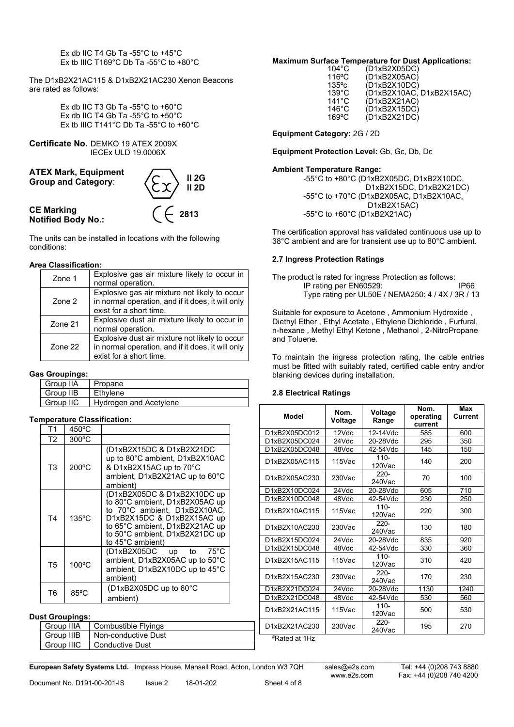Ex db IIC T4 Gb Ta -55°C to +45°C Ex tb IIIC T169°C Db Ta -55°C to +80°C

The D1xB2X21AC115 & D1xB2X21AC230 Xenon Beacons are rated as follows:

> Ex db IIC T3 Gb Ta -55°C to +60°C Ex db IIC T4 Gb Ta -55°C to +50°C Ex tb IIIC T141°C Db Ta -55°C to +60°C

**Certificate No.** DEMKO 19 ATEX 2009X IECEx ULD 19.0006X



The units can be installed in locations with the following conditions:

### **Area Classification:**

| Zone 1         | Explosive gas air mixture likely to occur in<br>normal operation.                                                              |
|----------------|--------------------------------------------------------------------------------------------------------------------------------|
| Zone 2         | Explosive gas air mixture not likely to occur<br>in normal operation, and if it does, it will only<br>exist for a short time.  |
| <b>Zone 21</b> | Explosive dust air mixture likely to occur in<br>normal operation.                                                             |
| <b>Zone 22</b> | Explosive dust air mixture not likely to occur<br>in normal operation, and if it does, it will only<br>exist for a short time. |

#### **Gas Groupings:**

| Group IIA | Propane                |
|-----------|------------------------|
| Group IIB | Ethvlene               |
| Group IIC | Hydrogen and Acetylene |

### **Temperature Classification:**

| Τ1             | $450^{\circ}$ C |                                                                                                                                                                                                                     |
|----------------|-----------------|---------------------------------------------------------------------------------------------------------------------------------------------------------------------------------------------------------------------|
| T2             | $300^{\circ}$ C |                                                                                                                                                                                                                     |
| T <sub>3</sub> | 200°C           | (D1xB2X15DC & D1xB2X21DC<br>up to 80°C ambient, D1xB2X10AC<br>& D1xB2X15AC up to 70°C<br>ambient, D1xB2X21AC up to 60°C<br>ambient)                                                                                 |
| T <sub>4</sub> | $135^{\circ}$ C | (D1xB2X05DC & D1xB2X10DC up<br>to 80°C ambient, D1xB2X05AC up<br>to 70°C ambient, D1xB2X10AC,<br>D1xB2X15DC & D1xB2X15AC up<br>to 65°C ambient, D1xB2X21AC up<br>to 50°C ambient, D1xB2X21DC up<br>to 45°C ambient) |
| T <sub>5</sub> | 100°C           | (D1xB2X05DC up to<br>75°C<br>ambient, D1xB2X05AC up to 50°C<br>ambient, D1xB2X10DC up to 45°C<br>ambient)                                                                                                           |
| T6             | $85^{\circ}$ C  | (D1xB2X05DC up to 60°C<br>ambient)                                                                                                                                                                                  |

#### **Dust Groupings:**

| or oroabilida. |                            |  |  |  |  |
|----------------|----------------------------|--|--|--|--|
| l Group IIIA   | <b>Combustible Flyings</b> |  |  |  |  |
| Group IIIB     | Non-conductive Dust        |  |  |  |  |
| Group IIIC     | Conductive Dust            |  |  |  |  |

### **Maximum Surface Temperature for Dust Applications:**

| $104^{\circ}$ C | (D1xB2X05DC)             |
|-----------------|--------------------------|
| $116^{\circ}$ C | (D1xB2X05AC)             |
| $135^{\circ}c$  | (D1xB2X10DC)             |
| $139^{\circ}$ C | (D1xB2X10AC, D1xB2X15AC) |
| $141^{\circ}$ C | (D1xB2X21AC)             |
| $146^{\circ}$ C | (D1xB2X15DC)             |
| $169$ °C        | (D1xB2X21DC)             |
|                 |                          |

**Equipment Category:** 2G / 2D

**Equipment Protection Level:** Gb, Gc, Db, Dc

#### **Ambient Temperature Range:**

-55°C to +80°C (D1xB2X05DC, D1xB2X10DC, D1xB2X15DC, D1xB2X21DC) -55°C to +70°C (D1xB2X05AC, D1xB2X10AC, D1xB2X15AC) -55°C to +60°C (D1xB2X21AC)

The certification approval has validated continuous use up to 38°C ambient and are for transient use up to 80°C ambient.

#### **2.7 Ingress Protection Ratings**

The product is rated for ingress Protection as follows: IP rating per EN60529: IP66 Type rating per UL50E / NEMA250: 4 / 4X / 3R / 13

Suitable for exposure to Acetone , Ammonium Hydroxide , Diethyl Ether , Ethyl Acetate , Ethylene Dichloride , Furfural, n-hexane , Methyl Ethyl Ketone , Methanol , 2-NitroPropane and Toluene.

To maintain the ingress protection rating, the cable entries must be fitted with suitably rated, certified cable entry and/or blanking devices during installation.

### **2.8 Electrical Ratings**

| Model                | Nom.<br>Voltage | Voltage<br>Range     | Nom.<br>operating<br>current | Max<br>Current |
|----------------------|-----------------|----------------------|------------------------------|----------------|
| D1xB2X05DC012        | 12Vdc           | 12-14Vdc             | 585                          | 600            |
| D1xB2X05DC024        | 24Vdc           | 20-28Vdc             | 295                          | 350            |
| D1xB2X05DC048        | 48Vdc           | 42-54Vdc             | 145                          | 150            |
| D1xB2X05AC115        | 115Vac          | $110 -$<br>120Vac    | 140                          | 200            |
| D1xB2X05AC230        | $230$ Vac       | $220 -$<br>240Vac    | 70                           | 100            |
| D1xB2X10DC024        | 24Vdc           | 20-28Vdc             | 605                          | 710            |
| D1xB2X10DC048        | 48Vdc           | 42-54Vdc             | 230                          | 250            |
| D1xB2X10AC115        | 115Vac          | $110 -$<br>120Vac    | 220                          | 300            |
| D1xB2X10AC230        | $230$ Vac       | $220 -$<br>$240$ Vac | 130                          | 180            |
| D1xB2X15DC024        | 24Vdc           | 20-28Vdc             | 835                          | 920            |
| D1xB2X15DC048        | 48Vdc           | 42-54Vdc             | 330                          | 360            |
| D1xB2X15AC115        | 115Vac          | $110 -$<br>120Vac    | 310                          | 420            |
| D1xB2X15AC230        | 230Vac          | 220-<br>$240$ Vac    | 170                          | 230            |
| D1xB2X21DC024        | 24Vdc           | 20-28Vdc             | 1130                         | 1240           |
| D1xB2X21DC048        | 48Vdc           | 42-54Vdc             | 530                          | 560            |
| D1xB2X21AC115        | 115Vac          | $110 -$<br>120Vac    | 500                          | 530            |
| D1xB2X21AC230        | $230$ Vac       | $220 -$<br>240Vac    | 195                          |                |
| <b>*Rated at 1Hz</b> |                 |                      |                              |                |

\_\_\_\_\_\_\_\_\_\_\_\_\_\_\_\_\_\_\_\_\_\_\_\_\_\_\_\_\_\_\_\_\_\_\_\_\_\_\_\_\_\_\_\_\_\_\_\_\_\_\_\_\_\_\_\_\_\_\_\_\_\_\_\_\_\_\_\_\_\_\_\_\_\_\_\_\_\_\_\_\_\_\_\_\_\_\_\_\_\_\_\_\_\_\_\_\_\_\_\_\_\_\_\_\_\_\_\_\_\_\_\_\_\_\_\_\_\_\_\_\_\_\_\_\_\_\_ **European Safety Systems Ltd.** Impress House, Mansell Road, Acton, London W3 7QH sales@e2s.com Tel: +44 (0)208 743 8880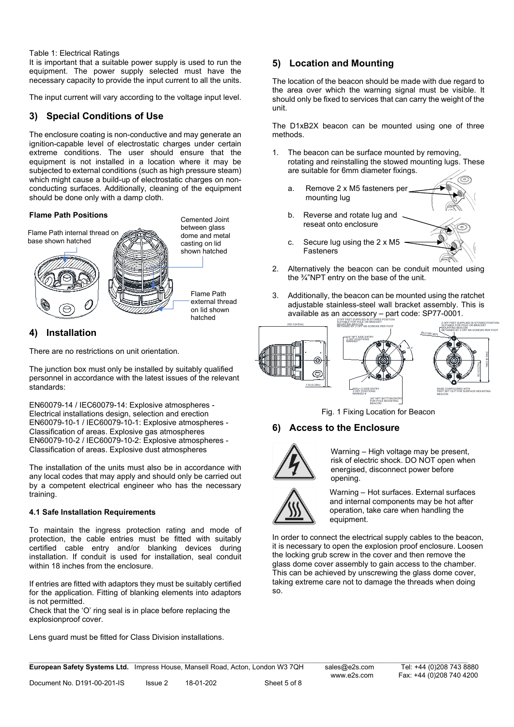#### Table 1: Electrical Ratings

It is important that a suitable power supply is used to run the equipment. The power supply selected must have the necessary capacity to provide the input current to all the units.

The input current will vary according to the voltage input level.

## **3) Special Conditions of Use**

The enclosure coating is non-conductive and may generate an ignition-capable level of electrostatic charges under certain extreme conditions. The user should ensure that the equipment is not installed in a location where it may be subjected to external conditions (such as high pressure steam) which might cause a build-up of electrostatic charges on nonconducting surfaces. Additionally, cleaning of the equipment should be done only with a damp cloth.

#### **Flame Path Positions**



## **4) Installation**

There are no restrictions on unit orientation.

The junction box must only be installed by suitably qualified personnel in accordance with the latest issues of the relevant standards:

EN60079-14 / IEC60079-14: Explosive atmospheres - Electrical installations design, selection and erection EN60079-10-1 / IEC60079-10-1: Explosive atmospheres - Classification of areas. Explosive gas atmospheres EN60079-10-2 / IEC60079-10-2: [Explosive atmospheres -](http://shop.bsigroup.com/en/ProductDetail/?pid=000000000030153067) [Classification of areas. Explosive dust atmospheres](http://shop.bsigroup.com/en/ProductDetail/?pid=000000000030153067)

The installation of the units must also be in accordance with any local codes that may apply and should only be carried out by a competent electrical engineer who has the necessary training.

### **4.1 Safe Installation Requirements**

To maintain the ingress protection rating and mode of protection, the cable entries must be fitted with suitably certified cable entry and/or blanking devices during certified cable entry and/or blanking devices installation. If conduit is used for installation, seal conduit within 18 inches from the enclosure.

If entries are fitted with adaptors they must be suitably certified for the application. Fitting of blanking elements into adaptors is not permitted.

Check that the 'O' ring seal is in place before replacing the explosionproof cover.

Lens guard must be fitted for Class Division installations.

# **5) Location and Mounting**

The location of the beacon should be made with due regard to the area over which the warning signal must be visible. It should only be fixed to services that can carry the weight of the unit.

The D1xB2X beacon can be mounted using one of three methods.

- The beacon can be surface mounted by removing, rotating and reinstalling the stowed mounting lugs. These are suitable for 6mm diameter fixings.
	- a. Remove 2 x M5 fasteners per mounting lug
	- b. Reverse and rotate lug and reseat onto enclosure
	- c. Secure lug using the 2 x M5 Fasteners
- 2. Alternatively the beacon can be conduit mounted using the ¾"NPT entry on the base of the unit.
- 3. Additionally, the beacon can be mounted using the ratchet adjustable stainless-steel wall bracket assembly. This is available as an accessory – part code: SP77-0001.



Fig. 1 Fixing Location for Beacon

### **6) Access to the Enclosure**



Warning – High voltage may be present, risk of electric shock. DO NOT open when energised, disconnect power before opening.



Warning – Hot surfaces. External surfaces and internal components may be hot after operation, take care when handling the equipment.

In order to connect the electrical supply cables to the beacon, it is necessary to open the explosion proof enclosure. Loosen the locking grub screw in the cover and then remove the glass dome cover assembly to gain access to the chamber. This can be achieved by unscrewing the glass dome cover, taking extreme care not to damage the threads when doing so.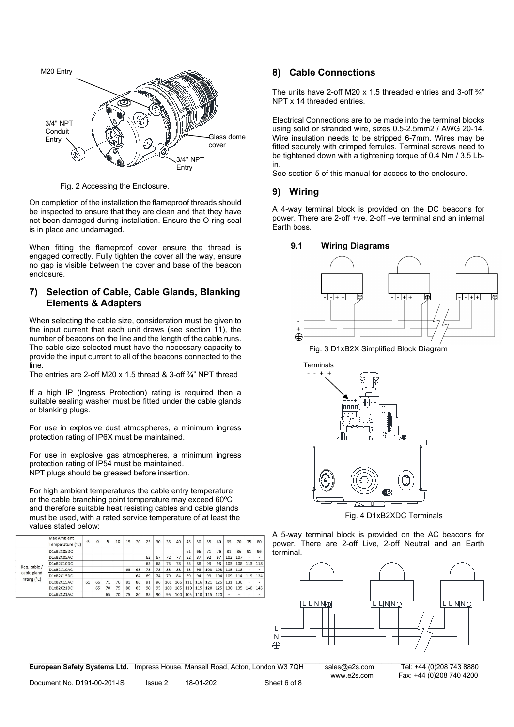

Fig. 2 Accessing the Enclosure.

On completion of the installation the flameproof threads should be inspected to ensure that they are clean and that they have not been damaged during installation. Ensure the O-ring seal is in place and undamaged.

When fitting the flameproof cover ensure the thread is engaged correctly. Fully tighten the cover all the way, ensure no gap is visible between the cover and base of the beacon enclosure.

## **7) Selection of Cable, Cable Glands, Blanking Elements & Adapters**

When selecting the cable size, consideration must be given to the input current that each unit draws (see section 11), the number of beacons on the line and the length of the cable runs. The cable size selected must have the necessary capacity to provide the input current to all of the beacons connected to the line.

The entries are 2-off M20 x 1.5 thread & 3-off ¾" NPT thread

If a high IP (Ingress Protection) rating is required then a suitable sealing washer must be fitted under the cable glands or blanking plugs.

For use in explosive dust atmospheres, a minimum ingress protection rating of IP6X must be maintained.

For use in explosive gas atmospheres, a minimum ingress protection rating of IP54 must be maintained. NPT plugs should be greased before insertion.

For high ambient temperatures the cable entry temperature or the cable branching point temperature may exceed 60ºC and therefore suitable heat resisting cables and cable glands must be used, with a rated service temperature of at least the values stated below:

|                             | Max Ambient<br>Temperature (°C) | $-5$ | O  | 5  | 10 | 15 | 20 | 25 | 30 | 35  | 40  | 45  | 50  | 55  | 60  | 65  | 70  | 75  | 80  |
|-----------------------------|---------------------------------|------|----|----|----|----|----|----|----|-----|-----|-----|-----|-----|-----|-----|-----|-----|-----|
|                             | D1xB2X05DC                      |      |    |    |    |    |    |    |    |     |     | 61  | 66  | 71  | 76  | 81  | 86  | 91  | 96  |
|                             | D1xB2X05AC                      |      |    |    |    |    |    | 62 | 67 | 72  | 77  | 82  | 87  | 92  | 97  | 102 | 107 | ٠   | ۰   |
|                             | D1xB2X10DC                      |      |    |    |    |    |    | 63 | 68 | 73  | 78  | 83  | 88  | 93  | 98  | 103 | 108 | 113 | 118 |
| Req. cable /<br>cable gland | D1xB2X10AC                      |      |    |    |    | 63 | 68 | 73 | 78 | 83  | 88  | 93  | 98  | 103 | 108 | 113 | 118 | ٠   | ۰   |
| rating (°C)                 | D1xB2X15DC                      |      |    |    |    |    | 64 | 69 | 74 | 79  | 84  | 89  | 94  | 99  | 104 | 109 | 114 | 119 | 124 |
|                             | D1xB2X15AC                      | 61   | 66 | 71 | 76 | 81 | 86 | 91 | 96 | 101 | 106 | 111 | 116 | 121 | 126 | 131 | 136 | ٠   | ۰   |
|                             | D1xB2X21DC                      |      | 65 | 70 | 75 | 80 | 85 | 90 | 95 | 100 | 105 | 110 | 115 | 120 | 125 | 130 | 135 | 140 | 145 |
|                             | D1xB2X21AC                      |      |    | 65 | 70 | 75 | 80 | 85 | 90 | 95  | 100 | 105 | 110 | 115 | 120 | ٠   | ٠   | ٠   | ٠   |

# **8) Cable Connections**

The units have 2-off M20 x 1.5 threaded entries and 3-off  $\frac{3}{4}$ " NPT x 14 threaded entries.

Electrical Connections are to be made into the terminal blocks using solid or stranded wire, sizes 0.5-2.5mm2 / AWG 20-14. Wire insulation needs to be stripped 6-7mm. Wires may be fitted securely with crimped ferrules. Terminal screws need to be tightened down with a tightening torque of 0.4 Nm / 3.5 Lbin.

See section 5 of this manual for access to the enclosure.

# **9) Wiring**

A 4-way terminal block is provided on the DC beacons for power. There are 2-off +ve, 2-off –ve terminal and an internal Earth boss.



Fig. 3 D1xB2X Simplified Block Diagram



Fig. 4 D1xB2XDC Terminals

A 5-way terminal block is provided on the AC beacons for power. There are 2-off Live, 2-off Neutral and an Earth terminal.



**European Safety Systems Ltd.** Impress House, Mansell Road, Acton, London W3 7QH sales@e2s.com Tel: +44 (0)208 743 8880

\_\_\_\_\_\_\_\_\_\_\_\_\_\_\_\_\_\_\_\_\_\_\_\_\_\_\_\_\_\_\_\_\_\_\_\_\_\_\_\_\_\_\_\_\_\_\_\_\_\_\_\_\_\_\_\_\_\_\_\_\_\_\_\_\_\_\_\_\_\_\_\_\_\_\_\_\_\_\_\_\_\_\_\_\_\_\_\_\_\_\_\_\_\_\_\_\_\_\_\_\_\_\_\_\_\_\_\_\_\_\_\_\_\_\_\_\_\_\_\_\_\_\_\_\_\_\_ www.e2s.com Fax: +44 (0)208 740 4200<br>Sheet 6 of 8

Document No. D191-00-201-IS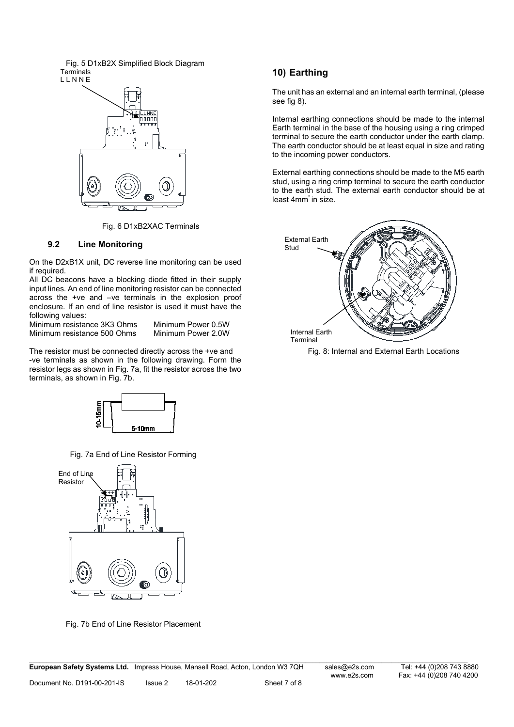Fig. 5 D1xB2X Simplified Block Diagram **Terminals** L L N N E



Fig. 6 D1xB2XAC Terminals

### **9.2 Line Monitoring**

On the D2xB1X unit, DC reverse line monitoring can be used if required.

All DC beacons have a blocking diode fitted in their supply input lines. An end of line monitoring resistor can be connected across the +ve and –ve terminals in the explosion proof enclosure. If an end of line resistor is used it must have the following values:

Minimum resistance 3K3 Ohms Minimum Power 0.5W<br>Minimum resistance 500 Ohms Minimum Power 2.0W Minimum resistance 500 Ohms

The resistor must be connected directly across the +ve and -ve terminals as shown in the following drawing. Form the resistor legs as shown in Fig. 7a, fit the resistor across the two terminals, as shown in Fig. 7b.



Fig. 7a End of Line Resistor Forming



Fig. 7b End of Line Resistor Placement

# **10) Earthing**

The unit has an external and an internal earth terminal, (please see fig 8).

Internal earthing connections should be made to the internal Earth terminal in the base of the housing using a ring crimped terminal to secure the earth conductor under the earth clamp. The earth conductor should be at least equal in size and rating to the incoming power conductors.

External earthing connections should be made to the M5 earth stud, using a ring crimp terminal to secure the earth conductor to the earth stud. The external earth conductor should be at least 4mm" in size.



Fig. 8: Internal and External Earth Locations